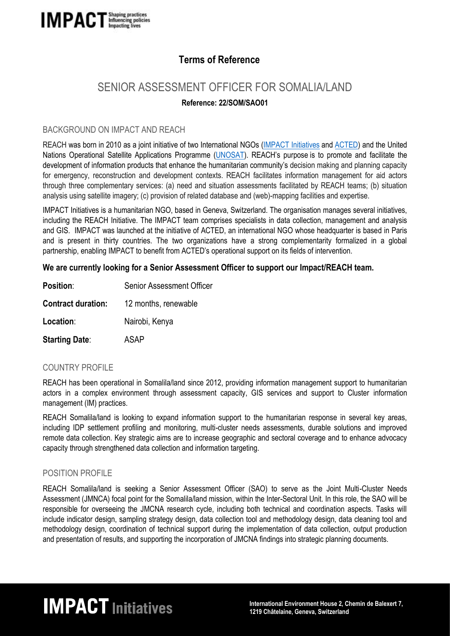

## **Terms of Reference**

# SENIOR ASSESSMENT OFFICER FOR SOMALIA/LAND

### **Reference: 22/SOM/SAO01**

#### BACKGROUND ON IMPACT AND REACH

REACH was born in 2010 as a joint initiative of two International NGOs (IMPACT [Initiatives](http://www.impact-initiatives.org/) and [ACTED\)](http://www.acted.org/) and the United Nations Operational Satellite Applications Programme [\(UNOSAT\)](http://www.unitar.org/unosat/). REACH's purpose is to promote and facilitate the development of information products that enhance the humanitarian community's decision making and planning capacity for emergency, reconstruction and development contexts. REACH facilitates information management for aid actors through three complementary services: (a) need and situation assessments facilitated by REACH teams; (b) situation analysis using satellite imagery; (c) provision of related database and (web)-mapping facilities and expertise.

IMPACT Initiatives is a humanitarian NGO, based in Geneva, Switzerland. The organisation manages several initiatives, including the REACH Initiative. The IMPACT team comprises specialists in data collection, management and analysis and GIS. IMPACT was launched at the initiative of ACTED, an international NGO whose headquarter is based in Paris and is present in thirty countries. The two organizations have a strong complementarity formalized in a global partnership, enabling IMPACT to benefit from ACTED's operational support on its fields of intervention.

#### **We are currently looking for a Senior Assessment Officer to support our Impact/REACH team.**

| <b>Position:</b>          | <b>Senior Assessment Officer</b> |
|---------------------------|----------------------------------|
| <b>Contract duration:</b> | 12 months, renewable             |
| Location:                 | Nairobi, Kenya                   |
| <b>Starting Date:</b>     | ASAP                             |

#### COUNTRY PROFILE

REACH has been operational in Somalila/land since 2012, providing information management support to humanitarian actors in a complex environment through assessment capacity, GIS services and support to Cluster information management (IM) practices.

REACH Somalila/land is looking to expand information support to the humanitarian response in several key areas, including IDP settlement profiling and monitoring, multi-cluster needs assessments, durable solutions and improved remote data collection. Key strategic aims are to increase geographic and sectoral coverage and to enhance advocacy capacity through strengthened data collection and information targeting.

#### POSITION PROFILE

REACH Somalila/land is seeking a Senior Assessment Officer (SAO) to serve as the Joint Multi-Cluster Needs Assessment (JMNCA) focal point for the Somalila/land mission, within the Inter-Sectoral Unit. In this role, the SAO will be responsible for overseeing the JMCNA research cycle, including both technical and coordination aspects. Tasks will include indicator design, sampling strategy design, data collection tool and methodology design, data cleaning tool and methodology design, coordination of technical support during the implementation of data collection, output production and presentation of results, and supporting the incorporation of JMCNA findings into strategic planning documents.

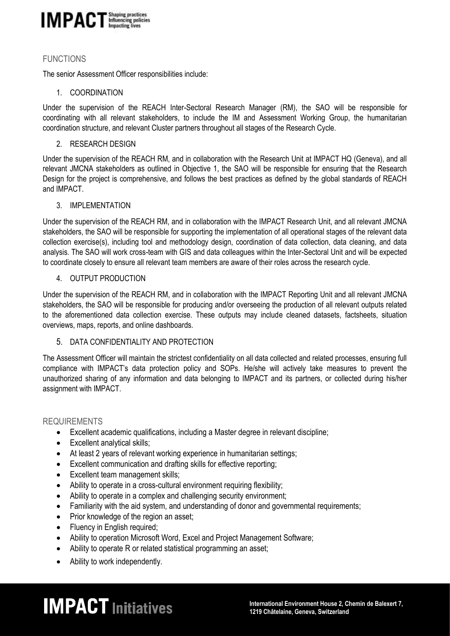

#### FUNCTIONS

The senior Assessment Officer responsibilities include:

#### 1. COORDINATION

Under the supervision of the REACH Inter-Sectoral Research Manager (RM), the SAO will be responsible for coordinating with all relevant stakeholders, to include the IM and Assessment Working Group, the humanitarian coordination structure, and relevant Cluster partners throughout all stages of the Research Cycle.

#### 2. RESEARCH DESIGN

Under the supervision of the REACH RM, and in collaboration with the Research Unit at IMPACT HQ (Geneva), and all relevant JMCNA stakeholders as outlined in Objective 1, the SAO will be responsible for ensuring that the Research Design for the project is comprehensive, and follows the best practices as defined by the global standards of REACH and IMPACT.

#### 3. IMPLEMENTATION

Under the supervision of the REACH RM, and in collaboration with the IMPACT Research Unit, and all relevant JMCNA stakeholders, the SAO will be responsible for supporting the implementation of all operational stages of the relevant data collection exercise(s), including tool and methodology design, coordination of data collection, data cleaning, and data analysis. The SAO will work cross-team with GIS and data colleagues within the Inter-Sectoral Unit and will be expected to coordinate closely to ensure all relevant team members are aware of their roles across the research cycle.

#### 4. OUTPUT PRODUCTION

Under the supervision of the REACH RM, and in collaboration with the IMPACT Reporting Unit and all relevant JMCNA stakeholders, the SAO will be responsible for producing and/or overseeing the production of all relevant outputs related to the aforementioned data collection exercise. These outputs may include cleaned datasets, factsheets, situation overviews, maps, reports, and online dashboards.

#### 5. DATA CONFIDENTIALITY AND PROTECTION

The Assessment Officer will maintain the strictest confidentiality on all data collected and related processes, ensuring full compliance with IMPACT's data protection policy and SOPs. He/she will actively take measures to prevent the unauthorized sharing of any information and data belonging to IMPACT and its partners, or collected during his/her assignment with IMPACT.

#### REQUIREMENTS

- Excellent academic qualifications, including a Master degree in relevant discipline;
- Excellent analytical skills;
- At least 2 years of relevant working experience in humanitarian settings;
- Excellent communication and drafting skills for effective reporting;
- Excellent team management skills;
- Ability to operate in a cross-cultural environment requiring flexibility;
- Ability to operate in a complex and challenging security environment;
- Familiarity with the aid system, and understanding of donor and governmental requirements;
- Prior knowledge of the region an asset:
- Fluency in English required:
- Ability to operation Microsoft Word, Excel and Project Management Software;
- Ability to operate R or related statistical programming an asset;
- Ability to work independently.

# **IMPACT** Initiatives<br>
1219 Châtelaine, Geneva, Switzerland